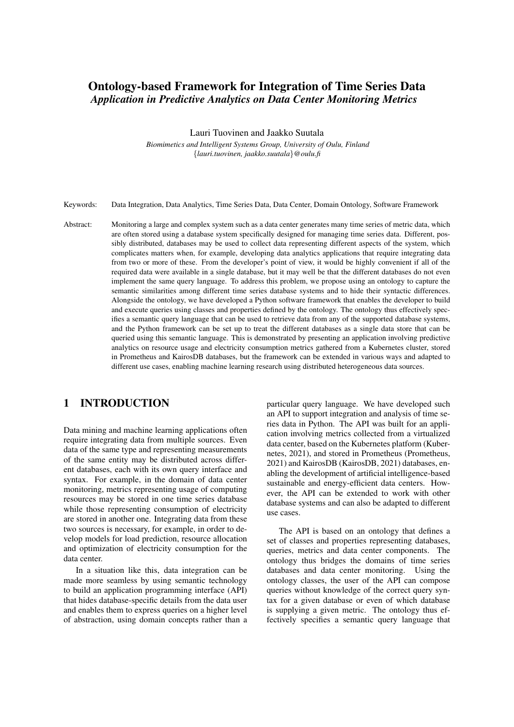# Ontology-based Framework for Integration of Time Series Data *Application in Predictive Analytics on Data Center Monitoring Metrics*

Lauri Tuovinen and Jaakko Suutala

*Biomimetics and Intelligent Systems Group, University of Oulu, Finland* {*lauri.tuovinen, jaakko.suutala*}*@oulu.fi*

Keywords: Data Integration, Data Analytics, Time Series Data, Data Center, Domain Ontology, Software Framework

Abstract: Monitoring a large and complex system such as a data center generates many time series of metric data, which are often stored using a database system specifically designed for managing time series data. Different, possibly distributed, databases may be used to collect data representing different aspects of the system, which complicates matters when, for example, developing data analytics applications that require integrating data from two or more of these. From the developer's point of view, it would be highly convenient if all of the required data were available in a single database, but it may well be that the different databases do not even implement the same query language. To address this problem, we propose using an ontology to capture the semantic similarities among different time series database systems and to hide their syntactic differences. Alongside the ontology, we have developed a Python software framework that enables the developer to build and execute queries using classes and properties defined by the ontology. The ontology thus effectively specifies a semantic query language that can be used to retrieve data from any of the supported database systems, and the Python framework can be set up to treat the different databases as a single data store that can be queried using this semantic language. This is demonstrated by presenting an application involving predictive analytics on resource usage and electricity consumption metrics gathered from a Kubernetes cluster, stored in Prometheus and KairosDB databases, but the framework can be extended in various ways and adapted to different use cases, enabling machine learning research using distributed heterogeneous data sources.

## 1 INTRODUCTION

Data mining and machine learning applications often require integrating data from multiple sources. Even data of the same type and representing measurements of the same entity may be distributed across different databases, each with its own query interface and syntax. For example, in the domain of data center monitoring, metrics representing usage of computing resources may be stored in one time series database while those representing consumption of electricity are stored in another one. Integrating data from these two sources is necessary, for example, in order to develop models for load prediction, resource allocation and optimization of electricity consumption for the data center.

In a situation like this, data integration can be made more seamless by using semantic technology to build an application programming interface (API) that hides database-specific details from the data user and enables them to express queries on a higher level of abstraction, using domain concepts rather than a particular query language. We have developed such an API to support integration and analysis of time series data in Python. The API was built for an application involving metrics collected from a virtualized data center, based on the Kubernetes platform (Kubernetes, 2021), and stored in Prometheus (Prometheus, 2021) and KairosDB (KairosDB, 2021) databases, enabling the development of artificial intelligence-based sustainable and energy-efficient data centers. However, the API can be extended to work with other database systems and can also be adapted to different use cases.

The API is based on an ontology that defines a set of classes and properties representing databases, queries, metrics and data center components. The ontology thus bridges the domains of time series databases and data center monitoring. Using the ontology classes, the user of the API can compose queries without knowledge of the correct query syntax for a given database or even of which database is supplying a given metric. The ontology thus effectively specifies a semantic query language that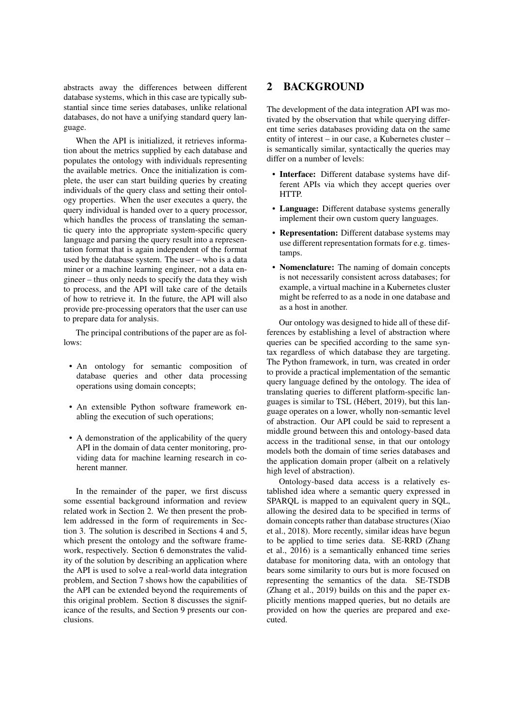abstracts away the differences between different database systems, which in this case are typically substantial since time series databases, unlike relational databases, do not have a unifying standard query language.

When the API is initialized, it retrieves information about the metrics supplied by each database and populates the ontology with individuals representing the available metrics. Once the initialization is complete, the user can start building queries by creating individuals of the query class and setting their ontology properties. When the user executes a query, the query individual is handed over to a query processor, which handles the process of translating the semantic query into the appropriate system-specific query language and parsing the query result into a representation format that is again independent of the format used by the database system. The user – who is a data miner or a machine learning engineer, not a data engineer – thus only needs to specify the data they wish to process, and the API will take care of the details of how to retrieve it. In the future, the API will also provide pre-processing operators that the user can use to prepare data for analysis.

The principal contributions of the paper are as follows:

- An ontology for semantic composition of database queries and other data processing operations using domain concepts;
- An extensible Python software framework enabling the execution of such operations;
- A demonstration of the applicability of the query API in the domain of data center monitoring, providing data for machine learning research in coherent manner.

In the remainder of the paper, we first discuss some essential background information and review related work in Section 2. We then present the problem addressed in the form of requirements in Section 3. The solution is described in Sections 4 and 5, which present the ontology and the software framework, respectively. Section 6 demonstrates the validity of the solution by describing an application where the API is used to solve a real-world data integration problem, and Section 7 shows how the capabilities of the API can be extended beyond the requirements of this original problem. Section 8 discusses the significance of the results, and Section 9 presents our conclusions.

### 2 BACKGROUND

The development of the data integration API was motivated by the observation that while querying different time series databases providing data on the same entity of interest – in our case, a Kubernetes cluster – is semantically similar, syntactically the queries may differ on a number of levels:

- Interface: Different database systems have different APIs via which they accept queries over **HTTP**
- Language: Different database systems generally implement their own custom query languages.
- Representation: Different database systems may use different representation formats for e.g. timestamps.
- Nomenclature: The naming of domain concepts is not necessarily consistent across databases; for example, a virtual machine in a Kubernetes cluster might be referred to as a node in one database and as a host in another.

Our ontology was designed to hide all of these differences by establishing a level of abstraction where queries can be specified according to the same syntax regardless of which database they are targeting. The Python framework, in turn, was created in order to provide a practical implementation of the semantic query language defined by the ontology. The idea of translating queries to different platform-specific languages is similar to TSL (Hebert, 2019), but this lan- ´ guage operates on a lower, wholly non-semantic level of abstraction. Our API could be said to represent a middle ground between this and ontology-based data access in the traditional sense, in that our ontology models both the domain of time series databases and the application domain proper (albeit on a relatively high level of abstraction).

Ontology-based data access is a relatively established idea where a semantic query expressed in SPARQL is mapped to an equivalent query in SQL, allowing the desired data to be specified in terms of domain concepts rather than database structures (Xiao et al., 2018). More recently, similar ideas have begun to be applied to time series data. SE-RRD (Zhang et al., 2016) is a semantically enhanced time series database for monitoring data, with an ontology that bears some similarity to ours but is more focused on representing the semantics of the data. SE-TSDB (Zhang et al., 2019) builds on this and the paper explicitly mentions mapped queries, but no details are provided on how the queries are prepared and executed.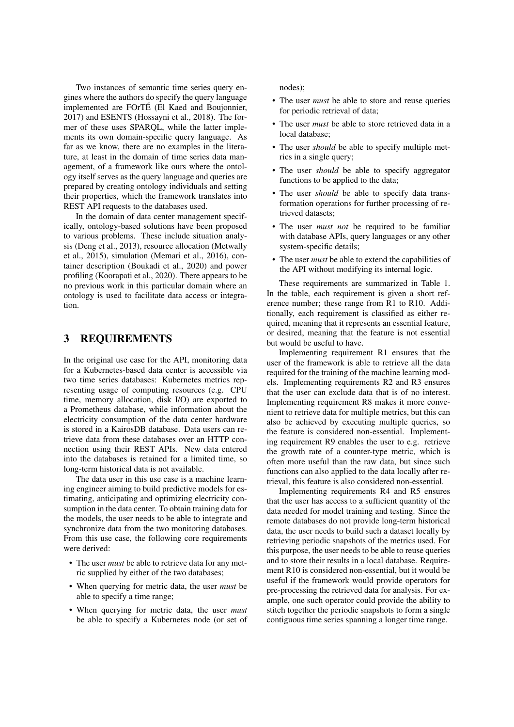Two instances of semantic time series query engines where the authors do specify the query language implemented are FOrTÉ (El Kaed and Boujonnier, 2017) and ESENTS (Hossayni et al., 2018). The former of these uses SPARQL, while the latter implements its own domain-specific query language. As far as we know, there are no examples in the literature, at least in the domain of time series data management, of a framework like ours where the ontology itself serves as the query language and queries are prepared by creating ontology individuals and setting their properties, which the framework translates into REST API requests to the databases used.

In the domain of data center management specifically, ontology-based solutions have been proposed to various problems. These include situation analysis (Deng et al., 2013), resource allocation (Metwally et al., 2015), simulation (Memari et al., 2016), container description (Boukadi et al., 2020) and power profiling (Koorapati et al., 2020). There appears to be no previous work in this particular domain where an ontology is used to facilitate data access or integration.

### 3 REQUIREMENTS

In the original use case for the API, monitoring data for a Kubernetes-based data center is accessible via two time series databases: Kubernetes metrics representing usage of computing resources (e.g. CPU time, memory allocation, disk I/O) are exported to a Prometheus database, while information about the electricity consumption of the data center hardware is stored in a KairosDB database. Data users can retrieve data from these databases over an HTTP connection using their REST APIs. New data entered into the databases is retained for a limited time, so long-term historical data is not available.

The data user in this use case is a machine learning engineer aiming to build predictive models for estimating, anticipating and optimizing electricity consumption in the data center. To obtain training data for the models, the user needs to be able to integrate and synchronize data from the two monitoring databases. From this use case, the following core requirements were derived:

- The user *must* be able to retrieve data for any metric supplied by either of the two databases;
- When querying for metric data, the user *must* be able to specify a time range;
- When querying for metric data, the user *must* be able to specify a Kubernetes node (or set of

nodes);

- The user *must* be able to store and reuse queries for periodic retrieval of data;
- The user *must* be able to store retrieved data in a local database;
- The user *should* be able to specify multiple metrics in a single query;
- The user *should* be able to specify aggregator functions to be applied to the data;
- The user *should* be able to specify data transformation operations for further processing of retrieved datasets;
- The user *must not* be required to be familiar with database APIs, query languages or any other system-specific details;
- The user *must* be able to extend the capabilities of the API without modifying its internal logic.

These requirements are summarized in Table 1. In the table, each requirement is given a short reference number; these range from R1 to R10. Additionally, each requirement is classified as either required, meaning that it represents an essential feature, or desired, meaning that the feature is not essential but would be useful to have.

Implementing requirement R1 ensures that the user of the framework is able to retrieve all the data required for the training of the machine learning models. Implementing requirements R2 and R3 ensures that the user can exclude data that is of no interest. Implementing requirement R8 makes it more convenient to retrieve data for multiple metrics, but this can also be achieved by executing multiple queries, so the feature is considered non-essential. Implementing requirement R9 enables the user to e.g. retrieve the growth rate of a counter-type metric, which is often more useful than the raw data, but since such functions can also applied to the data locally after retrieval, this feature is also considered non-essential.

Implementing requirements R4 and R5 ensures that the user has access to a sufficient quantity of the data needed for model training and testing. Since the remote databases do not provide long-term historical data, the user needs to build such a dataset locally by retrieving periodic snapshots of the metrics used. For this purpose, the user needs to be able to reuse queries and to store their results in a local database. Requirement R10 is considered non-essential, but it would be useful if the framework would provide operators for pre-processing the retrieved data for analysis. For example, one such operator could provide the ability to stitch together the periodic snapshots to form a single contiguous time series spanning a longer time range.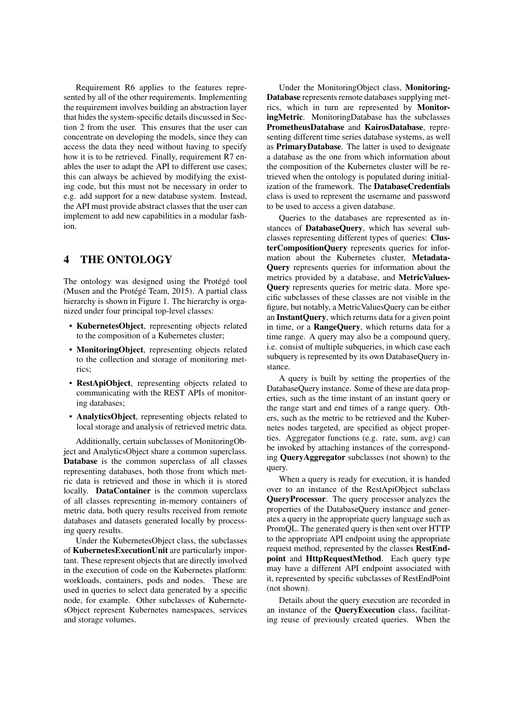Requirement R6 applies to the features represented by all of the other requirements. Implementing the requirement involves building an abstraction layer that hides the system-specific details discussed in Section 2 from the user. This ensures that the user can concentrate on developing the models, since they can access the data they need without having to specify how it is to be retrieved. Finally, requirement R7 enables the user to adapt the API to different use cases; this can always be achieved by modifying the existing code, but this must not be necessary in order to e.g. add support for a new database system. Instead, the API must provide abstract classes that the user can implement to add new capabilities in a modular fashion.

### 4 THE ONTOLOGY

The ontology was designed using the Protégé tool (Musen and the Protégé Team,  $2015$ ). A partial class hierarchy is shown in Figure 1. The hierarchy is organized under four principal top-level classes:

- KubernetesObject, representing objects related to the composition of a Kubernetes cluster;
- MonitoringObject, representing objects related to the collection and storage of monitoring metrics;
- RestApiObject, representing objects related to communicating with the REST APIs of monitoring databases;
- AnalyticsObject, representing objects related to local storage and analysis of retrieved metric data.

Additionally, certain subclasses of MonitoringObject and AnalyticsObject share a common superclass. Database is the common superclass of all classes representing databases, both those from which metric data is retrieved and those in which it is stored locally. **DataContainer** is the common superclass of all classes representing in-memory containers of metric data, both query results received from remote databases and datasets generated locally by processing query results.

Under the KubernetesObject class, the subclasses of KubernetesExecutionUnit are particularly important. These represent objects that are directly involved in the execution of code on the Kubernetes platform: workloads, containers, pods and nodes. These are used in queries to select data generated by a specific node, for example. Other subclasses of KubernetesObject represent Kubernetes namespaces, services and storage volumes.

Under the MonitoringObject class, Monitoring-Database represents remote databases supplying metrics, which in turn are represented by MonitoringMetric. MonitoringDatabase has the subclasses PrometheusDatabase and KairosDatabase, representing different time series database systems, as well as PrimaryDatabase. The latter is used to designate a database as the one from which information about the composition of the Kubernetes cluster will be retrieved when the ontology is populated during initialization of the framework. The DatabaseCredentials class is used to represent the username and password to be used to access a given database.

Queries to the databases are represented as instances of DatabaseQuery, which has several subclasses representing different types of queries: ClusterCompositionQuery represents queries for information about the Kubernetes cluster, Metadata-Query represents queries for information about the metrics provided by a database, and MetricValues-Query represents queries for metric data. More specific subclasses of these classes are not visible in the figure, but notably, a MetricValuesQuery can be either an InstantQuery, which returns data for a given point in time, or a **RangeQuery**, which returns data for a time range. A query may also be a compound query, i.e. consist of multiple subqueries, in which case each subquery is represented by its own DatabaseQuery instance.

A query is built by setting the properties of the DatabaseQuery instance. Some of these are data properties, such as the time instant of an instant query or the range start and end times of a range query. Others, such as the metric to be retrieved and the Kubernetes nodes targeted, are specified as object properties. Aggregator functions (e.g. rate, sum, avg) can be invoked by attaching instances of the corresponding QueryAggregator subclasses (not shown) to the query.

When a query is ready for execution, it is handed over to an instance of the RestApiObject subclass QueryProcessor. The query processor analyzes the properties of the DatabaseQuery instance and generates a query in the appropriate query language such as PromQL. The generated query is then sent over HTTP to the appropriate API endpoint using the appropriate request method, represented by the classes RestEndpoint and HttpRequestMethod. Each query type may have a different API endpoint associated with it, represented by specific subclasses of RestEndPoint (not shown).

Details about the query execution are recorded in an instance of the QueryExecution class, facilitating reuse of previously created queries. When the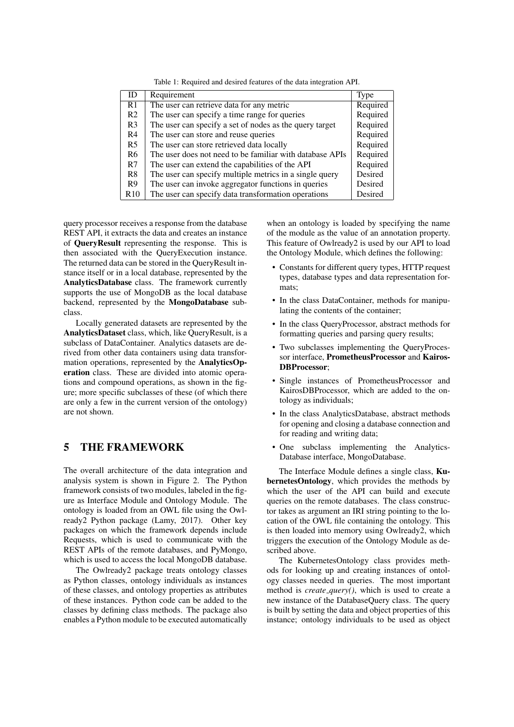| ID              | Requirement                                              | Type     |
|-----------------|----------------------------------------------------------|----------|
| R <sub>1</sub>  | The user can retrieve data for any metric                | Required |
| R2              | The user can specify a time range for queries            | Required |
| R <sub>3</sub>  | The user can specify a set of nodes as the query target  | Required |
| R4              | The user can store and reuse queries                     | Required |
| R5              | The user can store retrieved data locally                | Required |
| R6              | The user does not need to be familiar with database APIs | Required |
| R7              | The user can extend the capabilities of the API          | Required |
| R <sup>8</sup>  | The user can specify multiple metrics in a single query  | Desired  |
| R9              | The user can invoke aggregator functions in queries      | Desired  |
| R <sub>10</sub> | The user can specify data transformation operations      | Desired  |

Table 1: Required and desired features of the data integration API.

query processor receives a response from the database REST API, it extracts the data and creates an instance of QueryResult representing the response. This is then associated with the QueryExecution instance. The returned data can be stored in the QueryResult instance itself or in a local database, represented by the AnalyticsDatabase class. The framework currently supports the use of MongoDB as the local database backend, represented by the MongoDatabase subclass.

Locally generated datasets are represented by the AnalyticsDataset class, which, like QueryResult, is a subclass of DataContainer. Analytics datasets are derived from other data containers using data transformation operations, represented by the AnalyticsOperation class. These are divided into atomic operations and compound operations, as shown in the figure; more specific subclasses of these (of which there are only a few in the current version of the ontology) are not shown.

### 5 THE FRAMEWORK

The overall architecture of the data integration and analysis system is shown in Figure 2. The Python framework consists of two modules, labeled in the figure as Interface Module and Ontology Module. The ontology is loaded from an OWL file using the Owlready2 Python package (Lamy, 2017). Other key packages on which the framework depends include Requests, which is used to communicate with the REST APIs of the remote databases, and PyMongo, which is used to access the local MongoDB database.

The Owlready2 package treats ontology classes as Python classes, ontology individuals as instances of these classes, and ontology properties as attributes of these instances. Python code can be added to the classes by defining class methods. The package also enables a Python module to be executed automatically

when an ontology is loaded by specifying the name of the module as the value of an annotation property. This feature of Owlready2 is used by our API to load the Ontology Module, which defines the following:

- Constants for different query types, HTTP request types, database types and data representation formats;
- In the class DataContainer, methods for manipulating the contents of the container;
- In the class QueryProcessor, abstract methods for formatting queries and parsing query results;
- Two subclasses implementing the QueryProcessor interface, PrometheusProcessor and Kairos-DBProcessor;
- Single instances of PrometheusProcessor and KairosDBProcessor, which are added to the ontology as individuals;
- In the class AnalyticsDatabase, abstract methods for opening and closing a database connection and for reading and writing data;
- One subclass implementing the Analytics-Database interface, MongoDatabase.

The Interface Module defines a single class, KubernetesOntology, which provides the methods by which the user of the API can build and execute queries on the remote databases. The class constructor takes as argument an IRI string pointing to the location of the OWL file containing the ontology. This is then loaded into memory using Owlready2, which triggers the execution of the Ontology Module as described above.

The KubernetesOntology class provides methods for looking up and creating instances of ontology classes needed in queries. The most important method is *create\_query()*, which is used to create a new instance of the DatabaseQuery class. The query is built by setting the data and object properties of this instance; ontology individuals to be used as object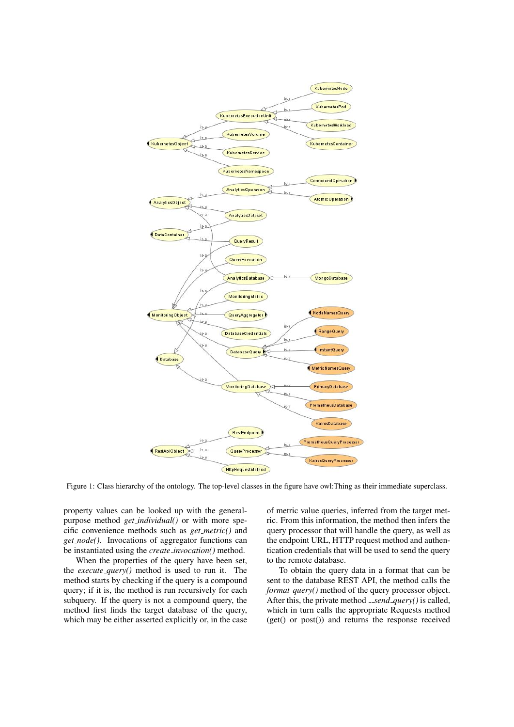

Figure 1: Class hierarchy of the ontology. The top-level classes in the figure have owl:Thing as their immediate superclass.

property values can be looked up with the generalpurpose method *get individual()* or with more specific convenience methods such as *get metric()* and *get node()*. Invocations of aggregator functions can be instantiated using the *create invocation()* method.

When the properties of the query have been set, the *execute query()* method is used to run it. The method starts by checking if the query is a compound query; if it is, the method is run recursively for each subquery. If the query is not a compound query, the method first finds the target database of the query, which may be either asserted explicitly or, in the case of metric value queries, inferred from the target metric. From this information, the method then infers the query processor that will handle the query, as well as the endpoint URL, HTTP request method and authentication credentials that will be used to send the query to the remote database.

To obtain the query data in a format that can be sent to the database REST API, the method calls the *format\_query()* method of the query processor object. After this, the private method *\_send\_query()* is called, which in turn calls the appropriate Requests method (get() or post()) and returns the response received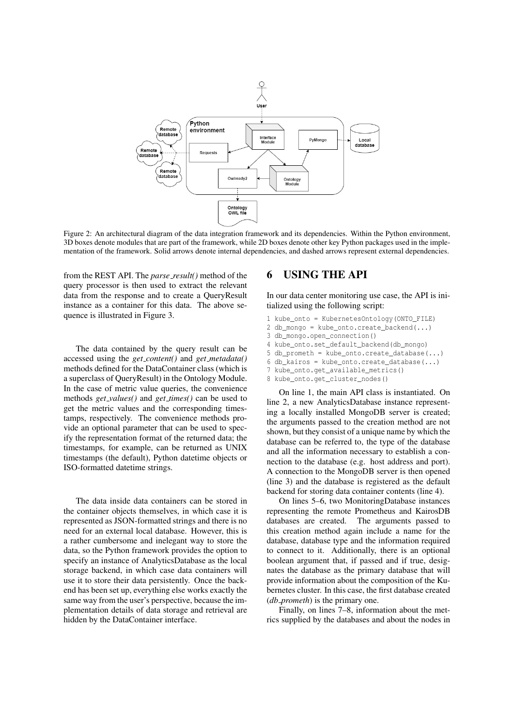

Figure 2: An architectural diagram of the data integration framework and its dependencies. Within the Python environment, 3D boxes denote modules that are part of the framework, while 2D boxes denote other key Python packages used in the implementation of the framework. Solid arrows denote internal dependencies, and dashed arrows represent external dependencies.

from the REST API. The *parse result()* method of the query processor is then used to extract the relevant data from the response and to create a QueryResult instance as a container for this data. The above sequence is illustrated in Figure 3.

The data contained by the query result can be accessed using the *get content()* and *get metadata()* methods defined for the DataContainer class (which is a superclass of QueryResult) in the Ontology Module. In the case of metric value queries, the convenience methods *get values()* and *get times()* can be used to get the metric values and the corresponding timestamps, respectively. The convenience methods provide an optional parameter that can be used to specify the representation format of the returned data; the timestamps, for example, can be returned as UNIX timestamps (the default), Python datetime objects or ISO-formatted datetime strings.

The data inside data containers can be stored in the container objects themselves, in which case it is represented as JSON-formatted strings and there is no need for an external local database. However, this is a rather cumbersome and inelegant way to store the data, so the Python framework provides the option to specify an instance of AnalyticsDatabase as the local storage backend, in which case data containers will use it to store their data persistently. Once the backend has been set up, everything else works exactly the same way from the user's perspective, because the implementation details of data storage and retrieval are hidden by the DataContainer interface.

### 6 USING THE API

In our data center monitoring use case, the API is initialized using the following script:

- 1 kube onto = KubernetesOntology(ONTO\_FILE)
- 2 db mongo = kube onto.create backend(...)
- 3 db\_mongo.open\_connection()
- 4 kube\_onto.set\_default\_backend(db\_mongo)
- 5 db\_prometh = kube\_onto.create\_database(...)
- 6 db kairos = kube\_onto.create\_database $(...)$
- 7 kube\_onto.get\_available\_metrics()
- 8 kube\_onto.get\_cluster\_nodes()

On line 1, the main API class is instantiated. On line 2, a new AnalyticsDatabase instance representing a locally installed MongoDB server is created; the arguments passed to the creation method are not shown, but they consist of a unique name by which the database can be referred to, the type of the database and all the information necessary to establish a connection to the database (e.g. host address and port). A connection to the MongoDB server is then opened (line 3) and the database is registered as the default backend for storing data container contents (line 4).

On lines 5–6, two MonitoringDatabase instances representing the remote Prometheus and KairosDB databases are created. The arguments passed to this creation method again include a name for the database, database type and the information required to connect to it. Additionally, there is an optional boolean argument that, if passed and if true, designates the database as the primary database that will provide information about the composition of the Kubernetes cluster. In this case, the first database created (*db prometh*) is the primary one.

Finally, on lines 7–8, information about the metrics supplied by the databases and about the nodes in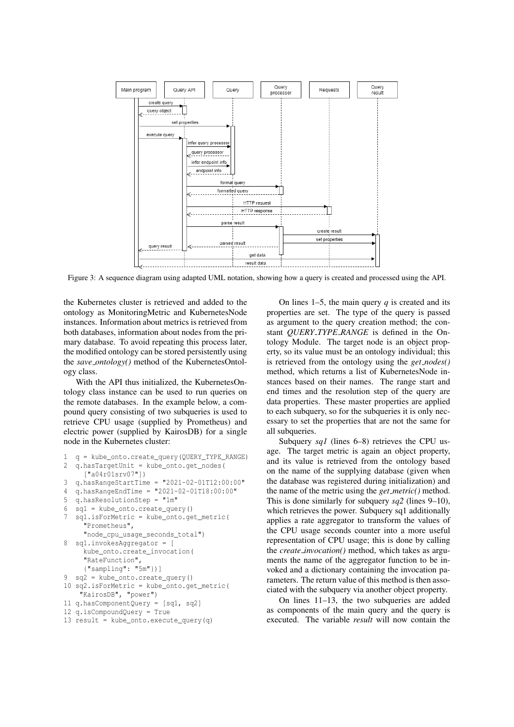

Figure 3: A sequence diagram using adapted UML notation, showing how a query is created and processed using the API.

the Kubernetes cluster is retrieved and added to the ontology as MonitoringMetric and KubernetesNode instances. Information about metrics is retrieved from both databases, information about nodes from the primary database. To avoid repeating this process later, the modified ontology can be stored persistently using the *save ontology()* method of the KubernetesOntology class.

With the API thus initialized, the KubernetesOntology class instance can be used to run queries on the remote databases. In the example below, a compound query consisting of two subqueries is used to retrieve CPU usage (supplied by Prometheus) and electric power (supplied by KairosDB) for a single node in the Kubernetes cluster:

```
1 q = kube_onto.create_query(QUERY_TYPE_RANGE)
2 q.hasTargetUnit = kube_onto.get_nodes(
     ["a04r01srv07"])
3 q.hasRangeStartTime = "2021-02-01T12:00:00"
4 q.hasRangeEndTime = "2021-02-01T18:00:00"
5 q.hasResolutionStep = "1m"
6 sq1 = kube_onto.create_query()
7 sq1.isForMetric = kube_onto.get_metric(
     "Prometheus",
     "node_cpu_usage_seconds_total")
8 sq1.invokesAggregator = [
    kube_onto.create_invocation(
     "RateFunction",
     {"sampling": "5m"})]
9 sq2 = kube onto.create query()
10 sq2.isForMetric = kube_onto.get_metric(
    "KairosDB", "power")
11 q.hasComponentQuery = [sq1, sq2]
12 q.isCompoundQuery = True
```

```
13 result = kube onto.execute query(q)
```
On lines 1–5, the main query *q* is created and its properties are set. The type of the query is passed as argument to the query creation method; the constant *QUERY TYPE RANGE* is defined in the Ontology Module. The target node is an object property, so its value must be an ontology individual; this is retrieved from the ontology using the *get nodes()* method, which returns a list of KubernetesNode instances based on their names. The range start and end times and the resolution step of the query are data properties. These master properties are applied to each subquery, so for the subqueries it is only necessary to set the properties that are not the same for all subqueries.

Subquery *sq1* (lines 6–8) retrieves the CPU usage. The target metric is again an object property, and its value is retrieved from the ontology based on the name of the supplying database (given when the database was registered during initialization) and the name of the metric using the *get metric()* method. This is done similarly for subquery *sq2* (lines 9–10), which retrieves the power. Subquery sq1 additionally applies a rate aggregator to transform the values of the CPU usage seconds counter into a more useful representation of CPU usage; this is done by calling the *create invocation()* method, which takes as arguments the name of the aggregator function to be invoked and a dictionary containing the invocation parameters. The return value of this method is then associated with the subquery via another object property.

On lines 11–13, the two subqueries are added as components of the main query and the query is executed. The variable *result* will now contain the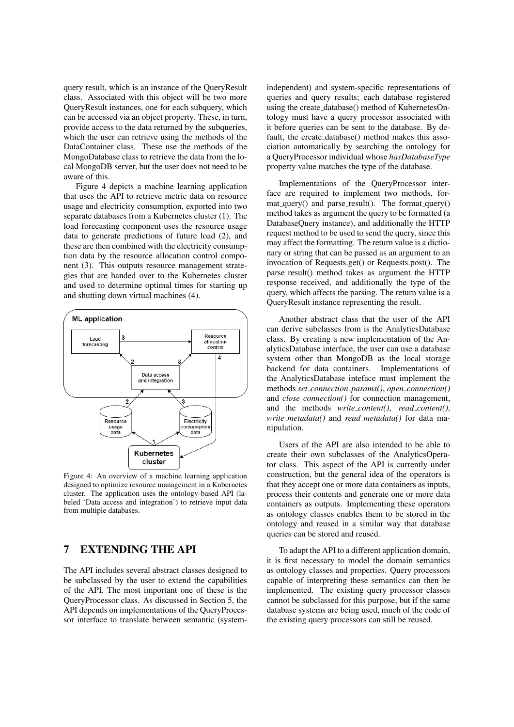query result, which is an instance of the QueryResult class. Associated with this object will be two more QueryResult instances, one for each subquery, which can be accessed via an object property. These, in turn, provide access to the data returned by the subqueries, which the user can retrieve using the methods of the DataContainer class. These use the methods of the MongoDatabase class to retrieve the data from the local MongoDB server, but the user does not need to be aware of this.

Figure 4 depicts a machine learning application that uses the API to retrieve metric data on resource usage and electricity consumption, exported into two separate databases from a Kubernetes cluster (1). The load forecasting component uses the resource usage data to generate predictions of future load (2), and these are then combined with the electricity consumption data by the resource allocation control component (3). This outputs resource management strategies that are handed over to the Kubernetes cluster and used to determine optimal times for starting up and shutting down virtual machines (4).



Figure 4: An overview of a machine learning application designed to optimize resource management in a Kubernetes cluster. The application uses the ontology-based API (labeled 'Data access and integration') to retrieve input data from multiple databases.

## 7 EXTENDING THE API

The API includes several abstract classes designed to be subclassed by the user to extend the capabilities of the API. The most important one of these is the QueryProcessor class. As discussed in Section 5, the API depends on implementations of the QueryProcessor interface to translate between semantic (system-

independent) and system-specific representations of queries and query results; each database registered using the create database() method of KubernetesOntology must have a query processor associated with it before queries can be sent to the database. By default, the create database() method makes this association automatically by searching the ontology for a QueryProcessor individual whose *hasDatabaseType* property value matches the type of the database.

Implementations of the QueryProcessor interface are required to implement two methods, for $mat_querv()$  and parse\_result(). The format\_query() method takes as argument the query to be formatted (a DatabaseQuery instance), and additionally the HTTP request method to be used to send the query, since this may affect the formatting. The return value is a dictionary or string that can be passed as an argument to an invocation of Requests.get() or Requests.post(). The parse\_result() method takes as argument the HTTP response received, and additionally the type of the query, which affects the parsing. The return value is a QueryResult instance representing the result.

Another abstract class that the user of the API can derive subclasses from is the AnalyticsDatabase class. By creating a new implementation of the AnalyticsDatabase interface, the user can use a database system other than MongoDB as the local storage backend for data containers. Implementations of the AnalyticsDatabase inteface must implement the methods *set connection params()*, *open connection()* and *close connection()* for connection management, and the methods *write content()*, *read content()*, *write metadata()* and *read metadata()* for data manipulation.

Users of the API are also intended to be able to create their own subclasses of the AnalyticsOperator class. This aspect of the API is currently under construction, but the general idea of the operators is that they accept one or more data containers as inputs, process their contents and generate one or more data containers as outputs. Implementing these operators as ontology classes enables them to be stored in the ontology and reused in a similar way that database queries can be stored and reused.

To adapt the API to a different application domain, it is first necessary to model the domain semantics as ontology classes and properties. Query processors capable of interpreting these semantics can then be implemented. The existing query processor classes cannot be subclassed for this purpose, but if the same database systems are being used, much of the code of the existing query processors can still be reused.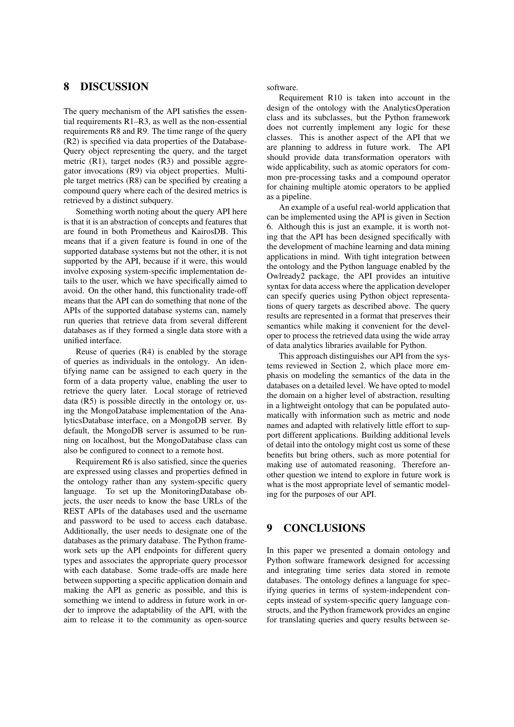### 8 DISCUSSION

The query mechanism of the API satisfies the essential requirements R1–R3, as well as the non-essential requirements R8 and R9. The time range of the query (R2) is specified via data properties of the Database-Query object representing the query, and the target metric (R1), target nodes (R3) and possible aggregator invocations (R9) via object properties. Multiple target metrics (R8) can be specified by creating a compound query where each of the desired metrics is retrieved by a distinct subquery.

Something worth noting about the query API here is that it is an abstraction of concepts and features that are found in both Prometheus and KairosDB. This means that if a given feature is found in one of the supported database systems but not the other, it is not supported by the API, because if it were, this would involve exposing system-specific implementation details to the user, which we have specifically aimed to avoid. On the other hand, this functionality trade-off means that the API can do something that none of the APIs of the supported database systems can, namely run queries that retrieve data from several different databases as if they formed a single data store with a unified interface.

Reuse of queries (R4) is enabled by the storage of queries as individuals in the ontology. An identifying name can be assigned to each query in the form of a data property value, enabling the user to retrieve the query later. Local storage of retrieved data (R5) is possible directly in the ontology or, using the MongoDatabase implementation of the AnalyticsDatabase interface, on a MongoDB server. By default, the MongoDB server is assumed to be running on localhost, but the MongoDatabase class can also be configured to connect to a remote host.

Requirement R6 is also satisfied, since the queries are expressed using classes and properties defined in the ontology rather than any system-specific query language. To set up the MonitoringDatabase objects, the user needs to know the base URLs of the REST APIs of the databases used and the username and password to be used to access each database. Additionally, the user needs to designate one of the databases as the primary database. The Python framework sets up the API endpoints for different query types and associates the appropriate query processor with each database. Some trade-offs are made here between supporting a specific application domain and making the API as generic as possible, and this is something we intend to address in future work in order to improve the adaptability of the API, with the aim to release it to the community as open-source software.

Requirement R10 is taken into account in the design of the ontology with the AnalyticsOperation class and its subclasses, but the Python framework does not currently implement any logic for these classes. This is another aspect of the API that we are planning to address in future work. The API should provide data transformation operators with wide applicability, such as atomic operators for common pre-processing tasks and a compound operator for chaining multiple atomic operators to be applied as a pipeline.

An example of a useful real-world application that can be implemented using the API is given in Section 6. Although this is just an example, it is worth noting that the API has been designed specifically with the development of machine learning and data mining applications in mind. With tight integration between the ontology and the Python language enabled by the Owlready2 package, the API provides an intuitive syntax for data access where the application developer can specify queries using Python object representations of query targets as described above. The query results are represented in a format that preserves their semantics while making it convenient for the developer to process the retrieved data using the wide array of data analytics libraries available for Python.

This approach distinguishes our API from the systems reviewed in Section 2, which place more emphasis on modeling the semantics of the data in the databases on a detailed level. We have opted to model the domain on a higher level of abstraction, resulting in a lightweight ontology that can be populated automatically with information such as metric and node names and adapted with relatively little effort to support different applications. Building additional levels of detail into the ontology might cost us some of these benefits but bring others, such as more potential for making use of automated reasoning. Therefore another question we intend to explore in future work is what is the most appropriate level of semantic modeling for the purposes of our API.

### 9 CONCLUSIONS

In this paper we presented a domain ontology and Python software framework designed for accessing and integrating time series data stored in remote databases. The ontology defines a language for specifying queries in terms of system-independent concepts instead of system-specific query language constructs, and the Python framework provides an engine for translating queries and query results between se